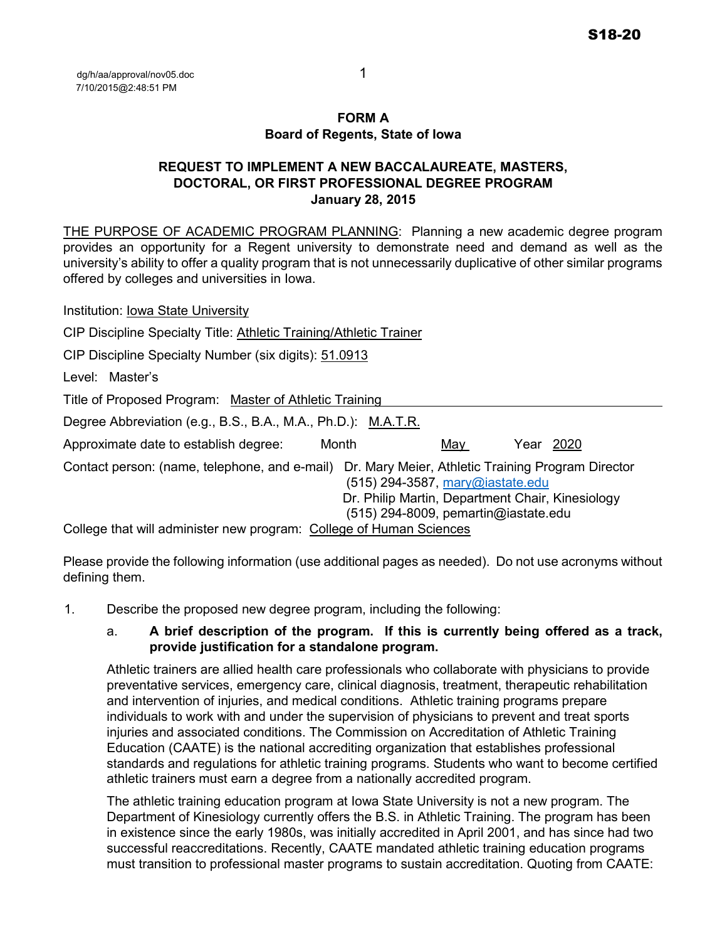### **FORM A Board of Regents, State of Iowa**

## **REQUEST TO IMPLEMENT A NEW BACCALAUREATE, MASTERS, DOCTORAL, OR FIRST PROFESSIONAL DEGREE PROGRAM January 28, 2015**

THE PURPOSE OF ACADEMIC PROGRAM PLANNING: Planning a new academic degree program provides an opportunity for a Regent university to demonstrate need and demand as well as the university's ability to offer a quality program that is not unnecessarily duplicative of other similar programs offered by colleges and universities in Iowa.

Institution: Iowa State University CIP Discipline Specialty Title: Athletic Training/Athletic Trainer CIP Discipline Specialty Number (six digits): 51.0913 Level: Master's Title of Proposed Program: Master of Athletic Training Degree Abbreviation (e.g., B.S., B.A., M.A., Ph.D.): M.A.T.R. Approximate date to establish degree: Month May May Year 2020 Contact person: (name, telephone, and e-mail) Dr. Mary Meier, Athletic Training Program Director (515) 294-3587, [mary@iastate.edu](mailto:mary@iastate.edu) Dr. Philip Martin, Department Chair, Kinesiology (515) 294-8009, pemartin@iastate.edu College that will administer new program: College of Human Sciences

Please provide the following information (use additional pages as needed). Do not use acronyms without defining them.

1. Describe the proposed new degree program, including the following:

## a. **A brief description of the program. If this is currently being offered as a track, provide justification for a standalone program.**

Athletic trainers are allied health care professionals who collaborate with physicians to provide preventative services, emergency care, clinical diagnosis, treatment, therapeutic rehabilitation and intervention of injuries, and medical conditions. Athletic training programs prepare individuals to work with and under the supervision of physicians to prevent and treat sports injuries and associated conditions. The Commission on Accreditation of Athletic Training Education (CAATE) is the national accrediting organization that establishes professional standards and regulations for athletic training programs. Students who want to become certified athletic trainers must earn a degree from a nationally accredited program.

The athletic training education program at Iowa State University is not a new program. The Department of Kinesiology currently offers the B.S. in Athletic Training. The program has been in existence since the early 1980s, was initially accredited in April 2001, and has since had two successful reaccreditations. Recently, CAATE mandated athletic training education programs must transition to professional master programs to sustain accreditation. Quoting from CAATE: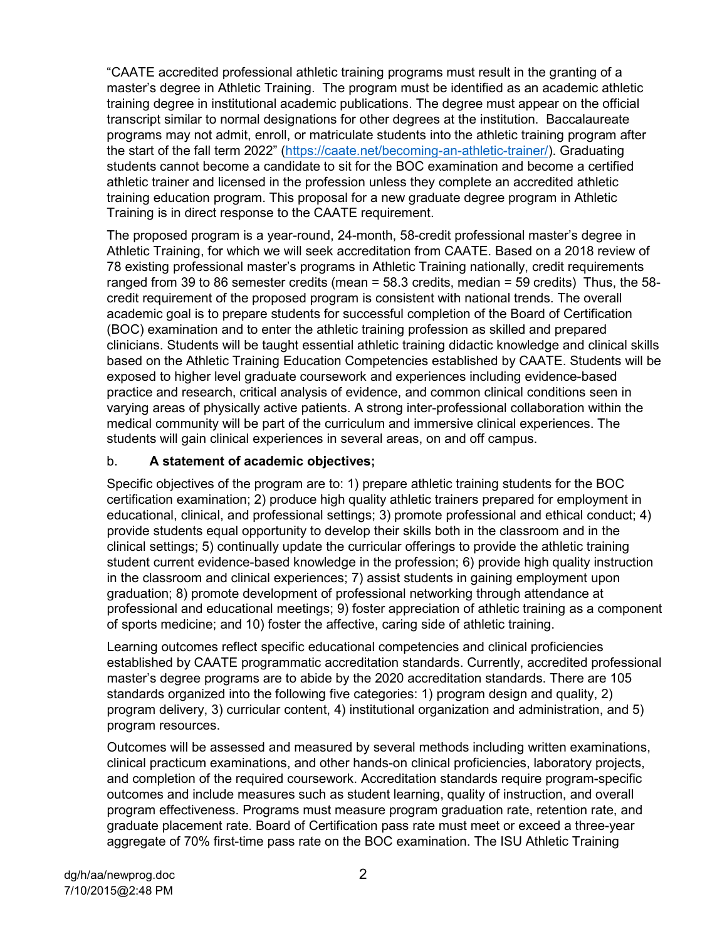"CAATE accredited professional athletic training programs must result in the granting of a master's degree in Athletic Training. The program must be identified as an academic athletic training degree in institutional academic publications. The degree must appear on the official transcript similar to normal designations for other degrees at the institution. Baccalaureate programs may not admit, enroll, or matriculate students into the athletic training program after the start of the fall term 2022" [\(https://caate.net/becoming-an-athletic-trainer/\)](https://caate.net/becoming-an-athletic-trainer/). Graduating students cannot become a candidate to sit for the BOC examination and become a certified athletic trainer and licensed in the profession unless they complete an accredited athletic training education program. This proposal for a new graduate degree program in Athletic Training is in direct response to the CAATE requirement.

The proposed program is a year-round, 24-month, 58-credit professional master's degree in Athletic Training, for which we will seek accreditation from CAATE. Based on a 2018 review of 78 existing professional master's programs in Athletic Training nationally, credit requirements ranged from 39 to 86 semester credits (mean = 58.3 credits, median = 59 credits) Thus, the 58 credit requirement of the proposed program is consistent with national trends. The overall academic goal is to prepare students for successful completion of the Board of Certification (BOC) examination and to enter the athletic training profession as skilled and prepared clinicians. Students will be taught essential athletic training didactic knowledge and clinical skills based on the Athletic Training Education Competencies established by CAATE. Students will be exposed to higher level graduate coursework and experiences including evidence-based practice and research, critical analysis of evidence, and common clinical conditions seen in varying areas of physically active patients. A strong inter-professional collaboration within the medical community will be part of the curriculum and immersive clinical experiences. The students will gain clinical experiences in several areas, on and off campus.

## b. **A statement of academic objectives;**

Specific objectives of the program are to: 1) prepare athletic training students for the BOC certification examination; 2) produce high quality athletic trainers prepared for employment in educational, clinical, and professional settings; 3) promote professional and ethical conduct; 4) provide students equal opportunity to develop their skills both in the classroom and in the clinical settings; 5) continually update the curricular offerings to provide the athletic training student current evidence-based knowledge in the profession; 6) provide high quality instruction in the classroom and clinical experiences; 7) assist students in gaining employment upon graduation; 8) promote development of professional networking through attendance at professional and educational meetings; 9) foster appreciation of athletic training as a component of sports medicine; and 10) foster the affective, caring side of athletic training.

Learning outcomes reflect specific educational competencies and clinical proficiencies established by CAATE programmatic accreditation standards. Currently, accredited professional master's degree programs are to abide by the 2020 accreditation standards. There are 105 standards organized into the following five categories: 1) program design and quality, 2) program delivery, 3) curricular content, 4) institutional organization and administration, and 5) program resources.

Outcomes will be assessed and measured by several methods including written examinations, clinical practicum examinations, and other hands-on clinical proficiencies, laboratory projects, and completion of the required coursework. Accreditation standards require program-specific outcomes and include measures such as student learning, quality of instruction, and overall program effectiveness. Programs must measure program graduation rate, retention rate, and graduate placement rate. Board of Certification pass rate must meet or exceed a three-year aggregate of 70% first-time pass rate on the BOC examination. The ISU Athletic Training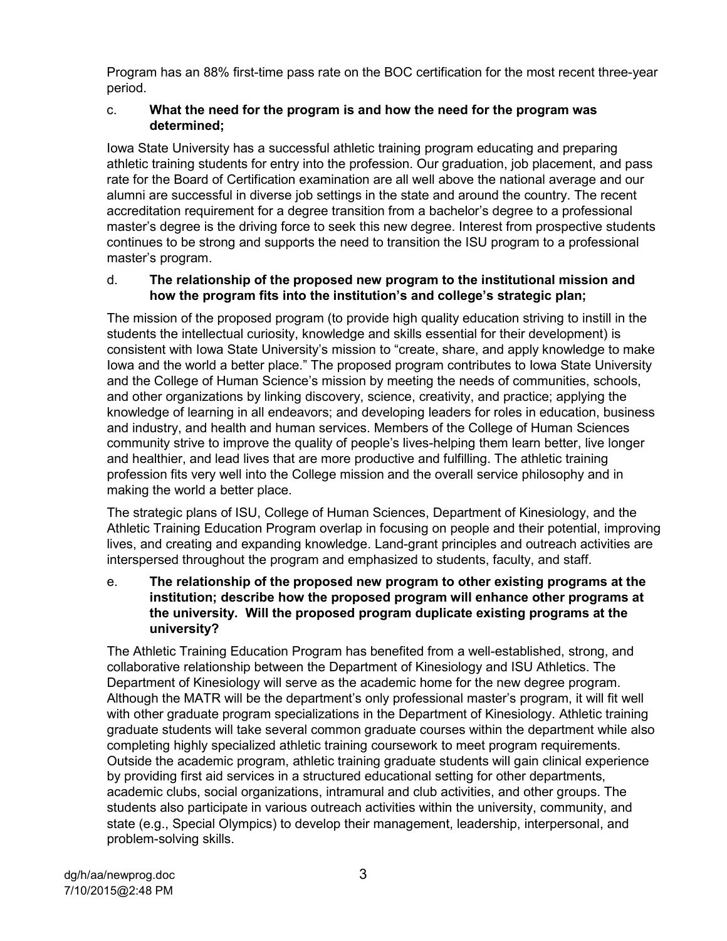Program has an 88% first-time pass rate on the BOC certification for the most recent three-year period.

## c. **What the need for the program is and how the need for the program was determined;**

Iowa State University has a successful athletic training program educating and preparing athletic training students for entry into the profession. Our graduation, job placement, and pass rate for the Board of Certification examination are all well above the national average and our alumni are successful in diverse job settings in the state and around the country. The recent accreditation requirement for a degree transition from a bachelor's degree to a professional master's degree is the driving force to seek this new degree. Interest from prospective students continues to be strong and supports the need to transition the ISU program to a professional master's program.

## d. **The relationship of the proposed new program to the institutional mission and how the program fits into the institution's and college's strategic plan;**

The mission of the proposed program (to provide high quality education striving to instill in the students the intellectual curiosity, knowledge and skills essential for their development) is consistent with Iowa State University's mission to "create, share, and apply knowledge to make Iowa and the world a better place." The proposed program contributes to Iowa State University and the College of Human Science's mission by meeting the needs of communities, schools, and other organizations by linking discovery, science, creativity, and practice; applying the knowledge of learning in all endeavors; and developing leaders for roles in education, business and industry, and health and human services. Members of the College of Human Sciences community strive to improve the quality of people's lives-helping them learn better, live longer and healthier, and lead lives that are more productive and fulfilling. The athletic training profession fits very well into the College mission and the overall service philosophy and in making the world a better place.

The strategic plans of ISU, College of Human Sciences, Department of Kinesiology, and the Athletic Training Education Program overlap in focusing on people and their potential, improving lives, and creating and expanding knowledge. Land-grant principles and outreach activities are interspersed throughout the program and emphasized to students, faculty, and staff.

### e. **The relationship of the proposed new program to other existing programs at the institution; describe how the proposed program will enhance other programs at the university. Will the proposed program duplicate existing programs at the university?**

The Athletic Training Education Program has benefited from a well-established, strong, and collaborative relationship between the Department of Kinesiology and ISU Athletics. The Department of Kinesiology will serve as the academic home for the new degree program. Although the MATR will be the department's only professional master's program, it will fit well with other graduate program specializations in the Department of Kinesiology. Athletic training graduate students will take several common graduate courses within the department while also completing highly specialized athletic training coursework to meet program requirements. Outside the academic program, athletic training graduate students will gain clinical experience by providing first aid services in a structured educational setting for other departments, academic clubs, social organizations, intramural and club activities, and other groups. The students also participate in various outreach activities within the university, community, and state (e.g., Special Olympics) to develop their management, leadership, interpersonal, and problem-solving skills.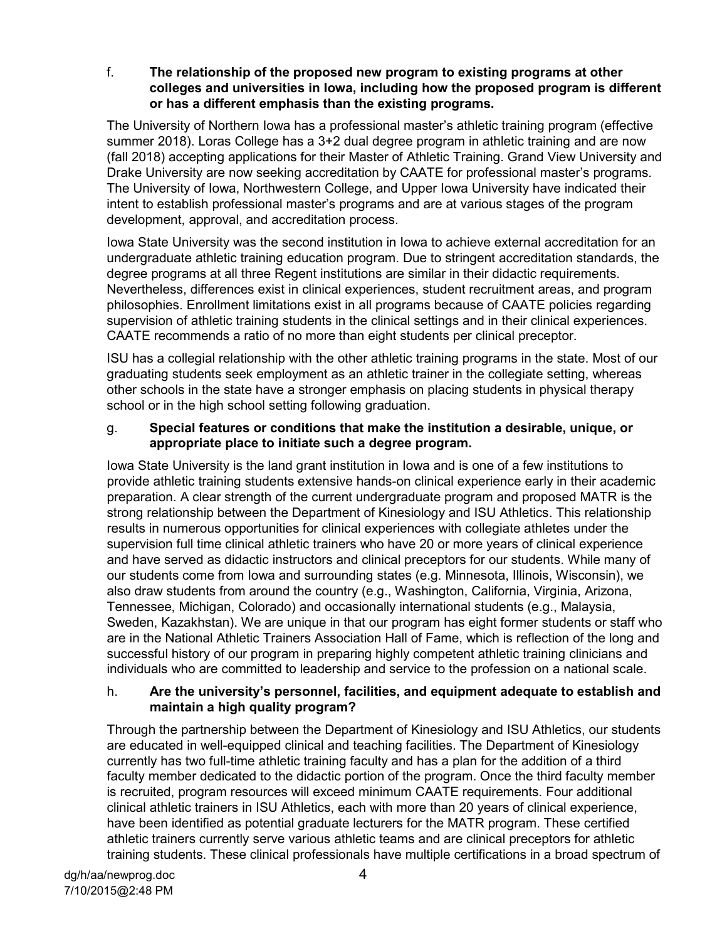f. **The relationship of the proposed new program to existing programs at other colleges and universities in Iowa, including how the proposed program is different or has a different emphasis than the existing programs.** 

The University of Northern Iowa has a professional master's athletic training program (effective summer 2018). Loras College has a 3+2 dual degree program in athletic training and are now (fall 2018) accepting applications for their Master of Athletic Training. Grand View University and Drake University are now seeking accreditation by CAATE for professional master's programs. The University of Iowa, Northwestern College, and Upper Iowa University have indicated their intent to establish professional master's programs and are at various stages of the program development, approval, and accreditation process.

Iowa State University was the second institution in Iowa to achieve external accreditation for an undergraduate athletic training education program. Due to stringent accreditation standards, the degree programs at all three Regent institutions are similar in their didactic requirements. Nevertheless, differences exist in clinical experiences, student recruitment areas, and program philosophies. Enrollment limitations exist in all programs because of CAATE policies regarding supervision of athletic training students in the clinical settings and in their clinical experiences. CAATE recommends a ratio of no more than eight students per clinical preceptor.

ISU has a collegial relationship with the other athletic training programs in the state. Most of our graduating students seek employment as an athletic trainer in the collegiate setting, whereas other schools in the state have a stronger emphasis on placing students in physical therapy school or in the high school setting following graduation.

### g. **Special features or conditions that make the institution a desirable, unique, or appropriate place to initiate such a degree program.**

Iowa State University is the land grant institution in Iowa and is one of a few institutions to provide athletic training students extensive hands-on clinical experience early in their academic preparation. A clear strength of the current undergraduate program and proposed MATR is the strong relationship between the Department of Kinesiology and ISU Athletics. This relationship results in numerous opportunities for clinical experiences with collegiate athletes under the supervision full time clinical athletic trainers who have 20 or more years of clinical experience and have served as didactic instructors and clinical preceptors for our students. While many of our students come from Iowa and surrounding states (e.g. Minnesota, Illinois, Wisconsin), we also draw students from around the country (e.g., Washington, California, Virginia, Arizona, Tennessee, Michigan, Colorado) and occasionally international students (e.g., Malaysia, Sweden, Kazakhstan). We are unique in that our program has eight former students or staff who are in the National Athletic Trainers Association Hall of Fame, which is reflection of the long and successful history of our program in preparing highly competent athletic training clinicians and individuals who are committed to leadership and service to the profession on a national scale.

## h. **Are the university's personnel, facilities, and equipment adequate to establish and maintain a high quality program?**

Through the partnership between the Department of Kinesiology and ISU Athletics, our students are educated in well-equipped clinical and teaching facilities. The Department of Kinesiology currently has two full-time athletic training faculty and has a plan for the addition of a third faculty member dedicated to the didactic portion of the program. Once the third faculty member is recruited, program resources will exceed minimum CAATE requirements. Four additional clinical athletic trainers in ISU Athletics, each with more than 20 years of clinical experience, have been identified as potential graduate lecturers for the MATR program. These certified athletic trainers currently serve various athletic teams and are clinical preceptors for athletic training students. These clinical professionals have multiple certifications in a broad spectrum of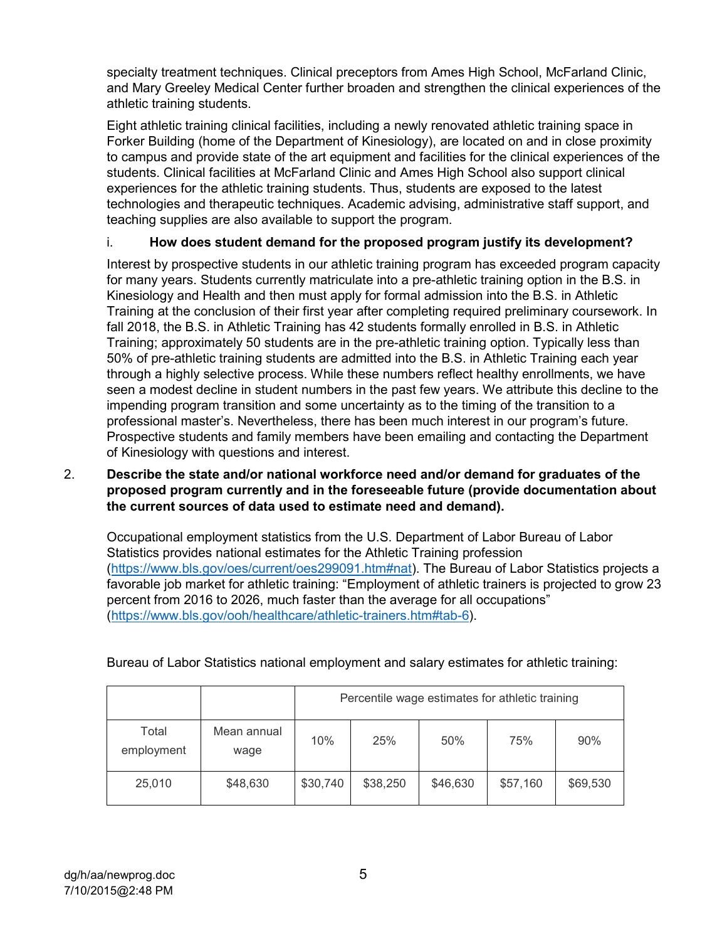specialty treatment techniques. Clinical preceptors from Ames High School, McFarland Clinic, and Mary Greeley Medical Center further broaden and strengthen the clinical experiences of the athletic training students.

Eight athletic training clinical facilities, including a newly renovated athletic training space in Forker Building (home of the Department of Kinesiology), are located on and in close proximity to campus and provide state of the art equipment and facilities for the clinical experiences of the students. Clinical facilities at McFarland Clinic and Ames High School also support clinical experiences for the athletic training students. Thus, students are exposed to the latest technologies and therapeutic techniques. Academic advising, administrative staff support, and teaching supplies are also available to support the program.

## i. **How does student demand for the proposed program justify its development?**

Interest by prospective students in our athletic training program has exceeded program capacity for many years. Students currently matriculate into a pre-athletic training option in the B.S. in Kinesiology and Health and then must apply for formal admission into the B.S. in Athletic Training at the conclusion of their first year after completing required preliminary coursework. In fall 2018, the B.S. in Athletic Training has 42 students formally enrolled in B.S. in Athletic Training; approximately 50 students are in the pre-athletic training option. Typically less than 50% of pre-athletic training students are admitted into the B.S. in Athletic Training each year through a highly selective process. While these numbers reflect healthy enrollments, we have seen a modest decline in student numbers in the past few years. We attribute this decline to the impending program transition and some uncertainty as to the timing of the transition to a professional master's. Nevertheless, there has been much interest in our program's future. Prospective students and family members have been emailing and contacting the Department of Kinesiology with questions and interest.

### 2. **Describe the state and/or national workforce need and/or demand for graduates of the proposed program currently and in the foreseeable future (provide documentation about the current sources of data used to estimate need and demand).**

Occupational employment statistics from the U.S. Department of Labor Bureau of Labor Statistics provides national estimates for the Athletic Training profession [\(https://www.bls.gov/oes/current/oes299091.htm#nat\)](https://www.bls.gov/oes/current/oes299091.htm#nat). The Bureau of Labor Statistics projects a favorable job market for athletic training: "Employment of athletic trainers is projected to grow 23 percent from 2016 to 2026, much faster than the average for all occupations" [\(https://www.bls.gov/ooh/healthcare/athletic-trainers.htm#tab-6\)](https://www.bls.gov/ooh/healthcare/athletic-trainers.htm#tab-6).

|                     |                     | Percentile wage estimates for athletic training |          |          |          |          |
|---------------------|---------------------|-------------------------------------------------|----------|----------|----------|----------|
| Total<br>employment | Mean annual<br>wage | 10%                                             | 25%      | 50%      | 75%      | 90%      |
| 25,010              | \$48,630            | \$30,740                                        | \$38,250 | \$46,630 | \$57,160 | \$69,530 |

## Bureau of Labor Statistics national employment and salary estimates for athletic training: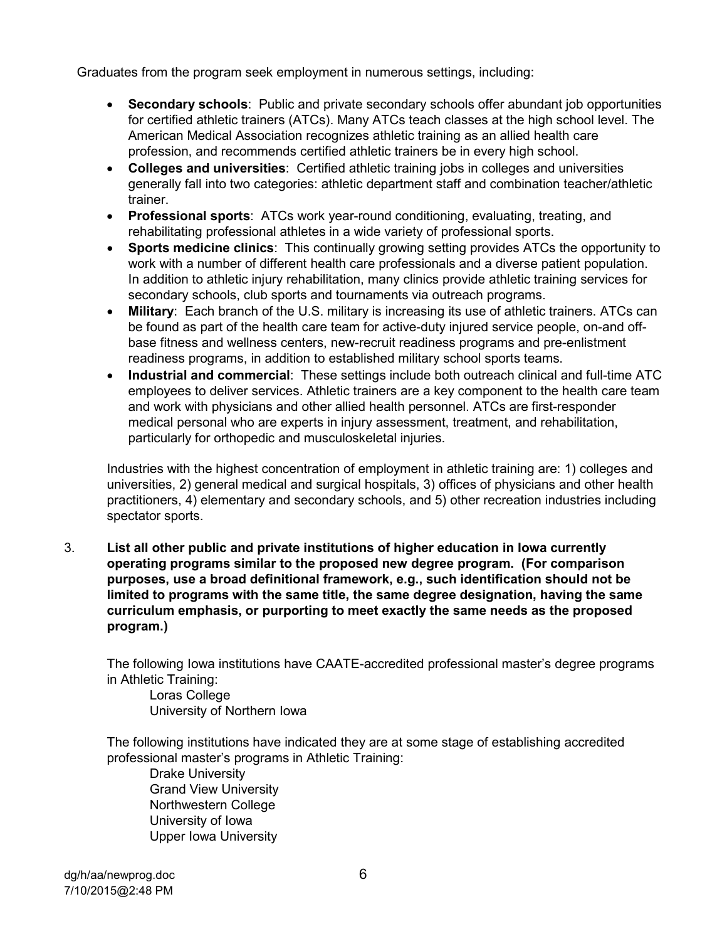Graduates from the program seek employment in numerous settings, including:

- **Secondary schools**: Public and private secondary schools offer abundant job opportunities for certified athletic trainers (ATCs). Many ATCs teach classes at the high school level. The American Medical Association recognizes athletic training as an allied health care profession, and recommends certified athletic trainers be in every high school.
- **Colleges and universities**: Certified athletic training jobs in colleges and universities generally fall into two categories: athletic department staff and combination teacher/athletic trainer.
- **Professional sports**: ATCs work year-round conditioning, evaluating, treating, and rehabilitating professional athletes in a wide variety of professional sports.
- **Sports medicine clinics**: This continually growing setting provides ATCs the opportunity to work with a number of different health care professionals and a diverse patient population. In addition to athletic injury rehabilitation, many clinics provide athletic training services for secondary schools, club sports and tournaments via outreach programs.
- **Military**: Each branch of the U.S. military is increasing its use of athletic trainers. ATCs can be found as part of the health care team for active-duty injured service people, on-and offbase fitness and wellness centers, new-recruit readiness programs and pre-enlistment readiness programs, in addition to established military school sports teams.
- **Industrial and commercial**: These settings include both outreach clinical and full-time ATC employees to deliver services. Athletic trainers are a key component to the health care team and work with physicians and other allied health personnel. ATCs are first-responder medical personal who are experts in injury assessment, treatment, and rehabilitation, particularly for orthopedic and musculoskeletal injuries.

Industries with the highest concentration of employment in athletic training are: 1) colleges and universities, 2) general medical and surgical hospitals, 3) offices of physicians and other health practitioners, 4) elementary and secondary schools, and 5) other recreation industries including spectator sports.

3. **List all other public and private institutions of higher education in Iowa currently operating programs similar to the proposed new degree program. (For comparison purposes, use a broad definitional framework, e.g., such identification should not be limited to programs with the same title, the same degree designation, having the same curriculum emphasis, or purporting to meet exactly the same needs as the proposed program.)** 

The following Iowa institutions have CAATE-accredited professional master's degree programs in Athletic Training:

Loras College University of Northern Iowa

The following institutions have indicated they are at some stage of establishing accredited professional master's programs in Athletic Training:

Drake University Grand View University Northwestern College University of Iowa Upper Iowa University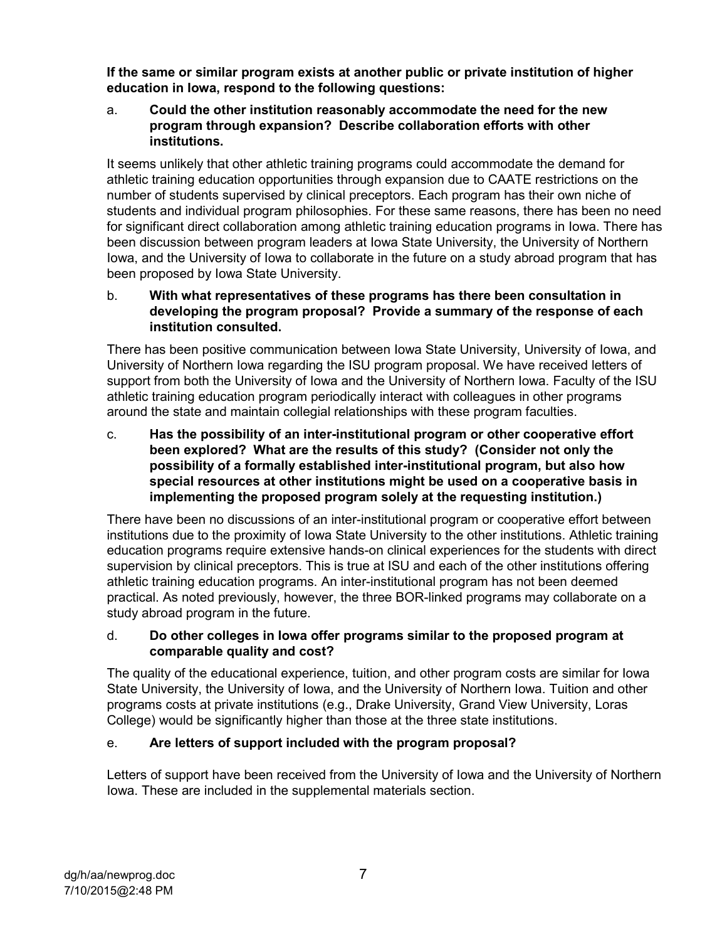**If the same or similar program exists at another public or private institution of higher education in Iowa, respond to the following questions:** 

a. **Could the other institution reasonably accommodate the need for the new program through expansion? Describe collaboration efforts with other institutions.** 

It seems unlikely that other athletic training programs could accommodate the demand for athletic training education opportunities through expansion due to CAATE restrictions on the number of students supervised by clinical preceptors. Each program has their own niche of students and individual program philosophies. For these same reasons, there has been no need for significant direct collaboration among athletic training education programs in Iowa. There has been discussion between program leaders at Iowa State University, the University of Northern Iowa, and the University of Iowa to collaborate in the future on a study abroad program that has been proposed by Iowa State University.

## b. **With what representatives of these programs has there been consultation in developing the program proposal? Provide a summary of the response of each institution consulted.**

There has been positive communication between Iowa State University, University of Iowa, and University of Northern Iowa regarding the ISU program proposal. We have received letters of support from both the University of Iowa and the University of Northern Iowa. Faculty of the ISU athletic training education program periodically interact with colleagues in other programs around the state and maintain collegial relationships with these program faculties.

c. **Has the possibility of an inter-institutional program or other cooperative effort been explored? What are the results of this study? (Consider not only the possibility of a formally established inter-institutional program, but also how special resources at other institutions might be used on a cooperative basis in implementing the proposed program solely at the requesting institution.)** 

There have been no discussions of an inter-institutional program or cooperative effort between institutions due to the proximity of Iowa State University to the other institutions. Athletic training education programs require extensive hands-on clinical experiences for the students with direct supervision by clinical preceptors. This is true at ISU and each of the other institutions offering athletic training education programs. An inter-institutional program has not been deemed practical. As noted previously, however, the three BOR-linked programs may collaborate on a study abroad program in the future.

## d. **Do other colleges in Iowa offer programs similar to the proposed program at comparable quality and cost?**

The quality of the educational experience, tuition, and other program costs are similar for Iowa State University, the University of Iowa, and the University of Northern Iowa. Tuition and other programs costs at private institutions (e.g., Drake University, Grand View University, Loras College) would be significantly higher than those at the three state institutions.

## e. **Are letters of support included with the program proposal?**

Letters of support have been received from the University of Iowa and the University of Northern Iowa. These are included in the supplemental materials section.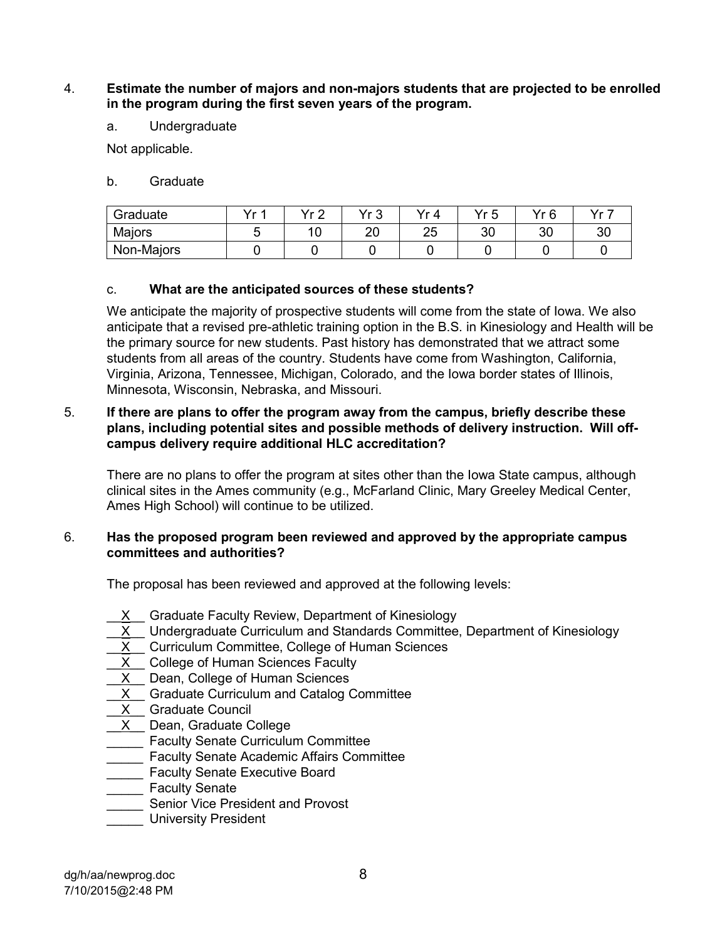### 4. **Estimate the number of majors and non-majors students that are projected to be enrolled in the program during the first seven years of the program.**

a. Undergraduate

Not applicable.

b. Graduate

| Graduate   | Vr 1 | v. n | いっ       | ∨r ⊿     | Vr 5 | Vr R     | Vr 7 |
|------------|------|------|----------|----------|------|----------|------|
| Majors     |      | 10   | nn<br>∠∪ | つに<br>∠J | 30   | oc<br>UU | oc   |
| Non-Majors |      |      |          |          |      |          |      |

## c. **What are the anticipated sources of these students?**

We anticipate the majority of prospective students will come from the state of Iowa. We also anticipate that a revised pre-athletic training option in the B.S. in Kinesiology and Health will be the primary source for new students. Past history has demonstrated that we attract some students from all areas of the country. Students have come from Washington, California, Virginia, Arizona, Tennessee, Michigan, Colorado, and the Iowa border states of Illinois, Minnesota, Wisconsin, Nebraska, and Missouri.

### 5. **If there are plans to offer the program away from the campus, briefly describe these plans, including potential sites and possible methods of delivery instruction. Will offcampus delivery require additional HLC accreditation?**

There are no plans to offer the program at sites other than the Iowa State campus, although clinical sites in the Ames community (e.g., McFarland Clinic, Mary Greeley Medical Center, Ames High School) will continue to be utilized.

### 6. **Has the proposed program been reviewed and approved by the appropriate campus committees and authorities?**

The proposal has been reviewed and approved at the following levels:

- X Graduate Faculty Review, Department of Kinesiology
- $X$  Undergraduate Curriculum and Standards Committee, Department of Kinesiology
- X Curriculum Committee, College of Human Sciences
- \_\_<u>X</u> \_\_ College of Human Sciences Faculty
- \_\_<u>X</u> \_\_ Dean, College of Human Sciences
- X Graduate Curriculum and Catalog Committee
- $\underline{X}$  Graduate Council
- $X$  Dean, Graduate College
- **THE FEACULTY Senate Curriculum Committee**
- \_\_\_\_\_ Faculty Senate Academic Affairs Committee
- **Executive** Faculty Senate Executive Board
- \_\_\_\_\_ Faculty Senate
- Senior Vice President and Provost
- \_\_\_\_\_ University President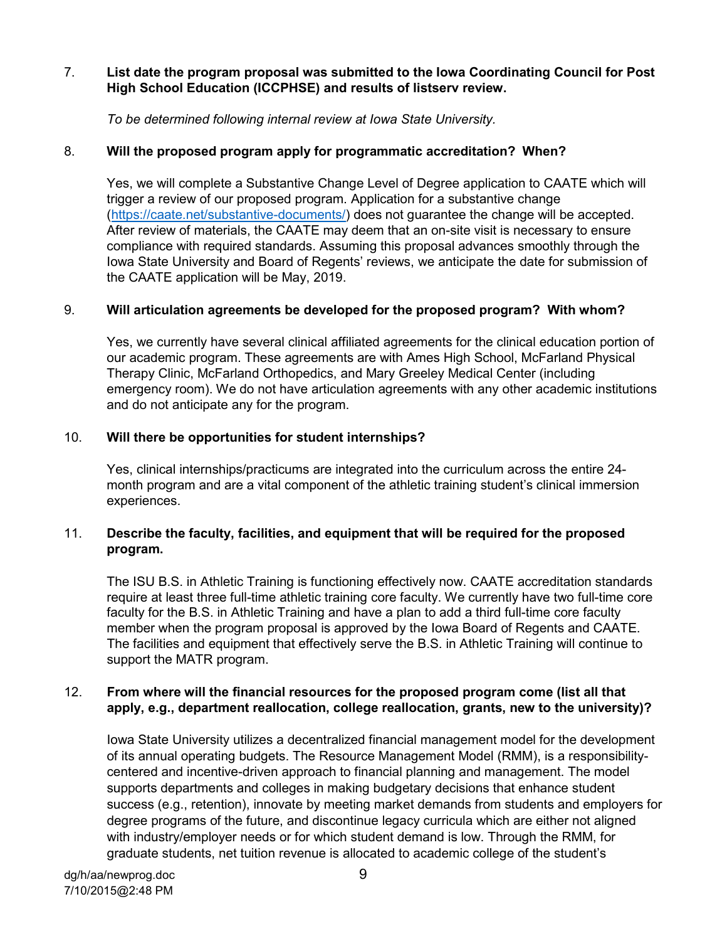## 7. **List date the program proposal was submitted to the Iowa Coordinating Council for Post High School Education (ICCPHSE) and results of listserv review.**

*To be determined following internal review at Iowa State University.*

## 8. **Will the proposed program apply for programmatic accreditation? When?**

Yes, we will complete a Substantive Change Level of Degree application to CAATE which will trigger a review of our proposed program. Application for a substantive change [\(https://caate.net/substantive-documents/\)](https://caate.net/substantive-documents/) does not guarantee the change will be accepted. After review of materials, the CAATE may deem that an on-site visit is necessary to ensure compliance with required standards. Assuming this proposal advances smoothly through the Iowa State University and Board of Regents' reviews, we anticipate the date for submission of the CAATE application will be May, 2019.

## 9. **Will articulation agreements be developed for the proposed program? With whom?**

Yes, we currently have several clinical affiliated agreements for the clinical education portion of our academic program. These agreements are with Ames High School, McFarland Physical Therapy Clinic, McFarland Orthopedics, and Mary Greeley Medical Center (including emergency room). We do not have articulation agreements with any other academic institutions and do not anticipate any for the program.

## 10. **Will there be opportunities for student internships?**

Yes, clinical internships/practicums are integrated into the curriculum across the entire 24 month program and are a vital component of the athletic training student's clinical immersion experiences.

## 11. **Describe the faculty, facilities, and equipment that will be required for the proposed program.**

The ISU B.S. in Athletic Training is functioning effectively now. CAATE accreditation standards require at least three full-time athletic training core faculty. We currently have two full-time core faculty for the B.S. in Athletic Training and have a plan to add a third full-time core faculty member when the program proposal is approved by the Iowa Board of Regents and CAATE. The facilities and equipment that effectively serve the B.S. in Athletic Training will continue to support the MATR program.

## 12. **From where will the financial resources for the proposed program come (list all that apply, e.g., department reallocation, college reallocation, grants, new to the university)?**

Iowa State University utilizes a decentralized financial management model for the development of its annual operating budgets. The Resource Management Model (RMM), is a responsibilitycentered and incentive-driven approach to financial planning and management. The model supports departments and colleges in making budgetary decisions that enhance student success (e.g., retention), innovate by meeting market demands from students and employers for degree programs of the future, and discontinue legacy curricula which are either not aligned with industry/employer needs or for which student demand is low. Through the RMM, for graduate students, net tuition revenue is allocated to academic college of the student's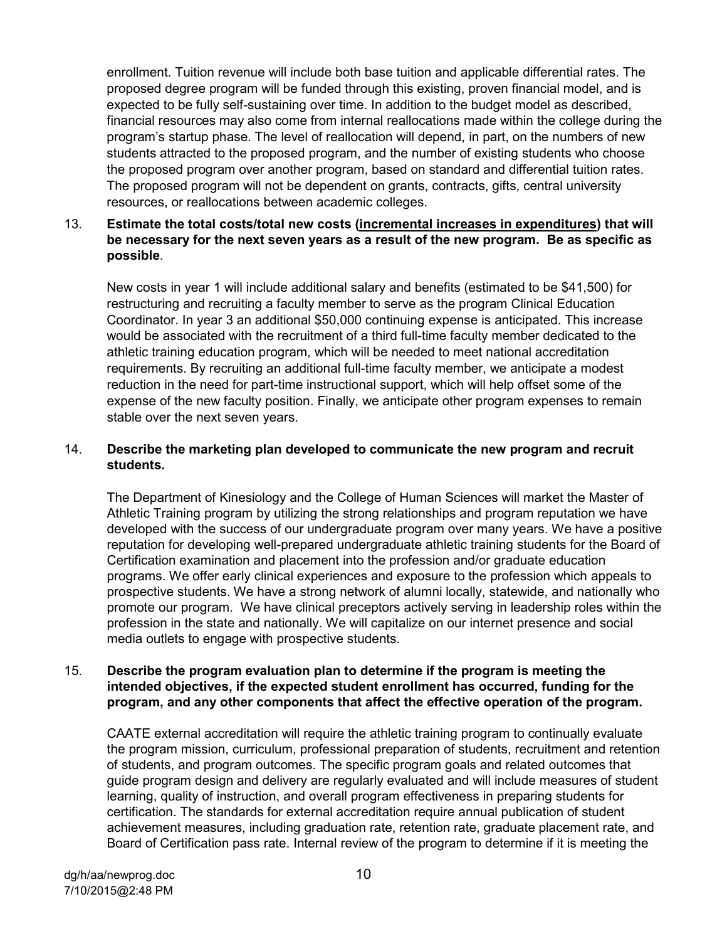enrollment. Tuition revenue will include both base tuition and applicable differential rates. The proposed degree program will be funded through this existing, proven financial model, and is expected to be fully self-sustaining over time. In addition to the budget model as described, financial resources may also come from internal reallocations made within the college during the program's startup phase. The level of reallocation will depend, in part, on the numbers of new students attracted to the proposed program, and the number of existing students who choose the proposed program over another program, based on standard and differential tuition rates. The proposed program will not be dependent on grants, contracts, gifts, central university resources, or reallocations between academic colleges.

### 13. **Estimate the total costs/total new costs (incremental increases in expenditures) that will be necessary for the next seven years as a result of the new program. Be as specific as possible**.

New costs in year 1 will include additional salary and benefits (estimated to be \$41,500) for restructuring and recruiting a faculty member to serve as the program Clinical Education Coordinator. In year 3 an additional \$50,000 continuing expense is anticipated. This increase would be associated with the recruitment of a third full-time faculty member dedicated to the athletic training education program, which will be needed to meet national accreditation requirements. By recruiting an additional full-time faculty member, we anticipate a modest reduction in the need for part-time instructional support, which will help offset some of the expense of the new faculty position. Finally, we anticipate other program expenses to remain stable over the next seven years.

### 14. **Describe the marketing plan developed to communicate the new program and recruit students.**

The Department of Kinesiology and the College of Human Sciences will market the Master of Athletic Training program by utilizing the strong relationships and program reputation we have developed with the success of our undergraduate program over many years. We have a positive reputation for developing well-prepared undergraduate athletic training students for the Board of Certification examination and placement into the profession and/or graduate education programs. We offer early clinical experiences and exposure to the profession which appeals to prospective students. We have a strong network of alumni locally, statewide, and nationally who promote our program. We have clinical preceptors actively serving in leadership roles within the profession in the state and nationally. We will capitalize on our internet presence and social media outlets to engage with prospective students.

### 15. **Describe the program evaluation plan to determine if the program is meeting the intended objectives, if the expected student enrollment has occurred, funding for the program, and any other components that affect the effective operation of the program.**

CAATE external accreditation will require the athletic training program to continually evaluate the program mission, curriculum, professional preparation of students, recruitment and retention of students, and program outcomes. The specific program goals and related outcomes that guide program design and delivery are regularly evaluated and will include measures of student learning, quality of instruction, and overall program effectiveness in preparing students for certification. The standards for external accreditation require annual publication of student achievement measures, including graduation rate, retention rate, graduate placement rate, and Board of Certification pass rate. Internal review of the program to determine if it is meeting the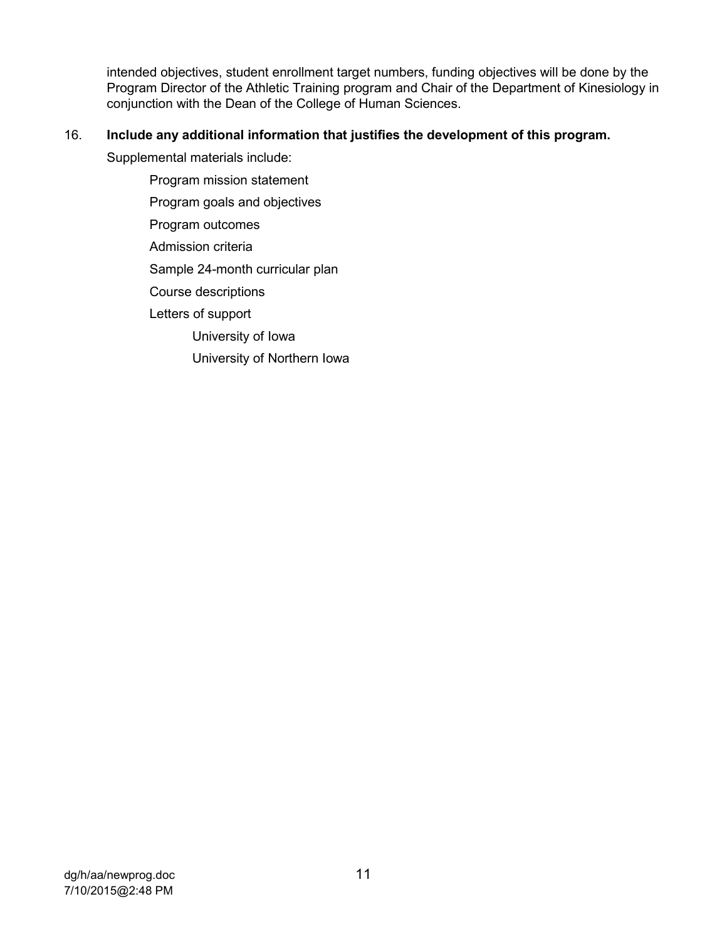intended objectives, student enrollment target numbers, funding objectives will be done by the Program Director of the Athletic Training program and Chair of the Department of Kinesiology in conjunction with the Dean of the College of Human Sciences.

## 16. **Include any additional information that justifies the development of this program.**

Supplemental materials include:

Program mission statement Program goals and objectives Program outcomes Admission criteria Sample 24-month curricular plan Course descriptions Letters of support University of Iowa University of Northern Iowa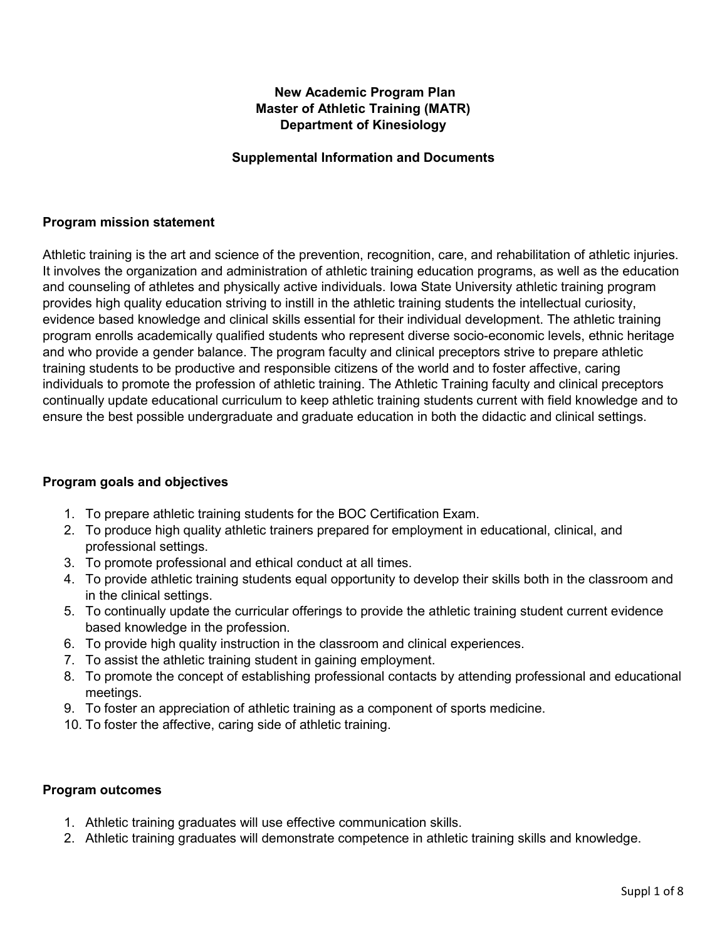## **New Academic Program Plan Master of Athletic Training (MATR) Department of Kinesiology**

### **Supplemental Information and Documents**

### **Program mission statement**

Athletic training is the art and science of the prevention, recognition, care, and rehabilitation of athletic injuries. It involves the organization and administration of athletic training education programs, as well as the education and counseling of athletes and physically active individuals. Iowa State University athletic training program provides high quality education striving to instill in the athletic training students the intellectual curiosity, evidence based knowledge and clinical skills essential for their individual development. The athletic training program enrolls academically qualified students who represent diverse socio-economic levels, ethnic heritage and who provide a gender balance. The program faculty and clinical preceptors strive to prepare athletic training students to be productive and responsible citizens of the world and to foster affective, caring individuals to promote the profession of athletic training. The Athletic Training faculty and clinical preceptors continually update educational curriculum to keep athletic training students current with field knowledge and to ensure the best possible undergraduate and graduate education in both the didactic and clinical settings.

### **Program goals and objectives**

- 1. To prepare athletic training students for the BOC Certification Exam.
- 2. To produce high quality athletic trainers prepared for employment in educational, clinical, and professional settings.
- 3. To promote professional and ethical conduct at all times.
- 4. To provide athletic training students equal opportunity to develop their skills both in the classroom and in the clinical settings.
- 5. To continually update the curricular offerings to provide the athletic training student current evidence based knowledge in the profession.
- 6. To provide high quality instruction in the classroom and clinical experiences.
- 7. To assist the athletic training student in gaining employment.
- 8. To promote the concept of establishing professional contacts by attending professional and educational meetings.
- 9. To foster an appreciation of athletic training as a component of sports medicine.
- 10. To foster the affective, caring side of athletic training.

### **Program outcomes**

- 1. Athletic training graduates will use effective communication skills.
- 2. Athletic training graduates will demonstrate competence in athletic training skills and knowledge.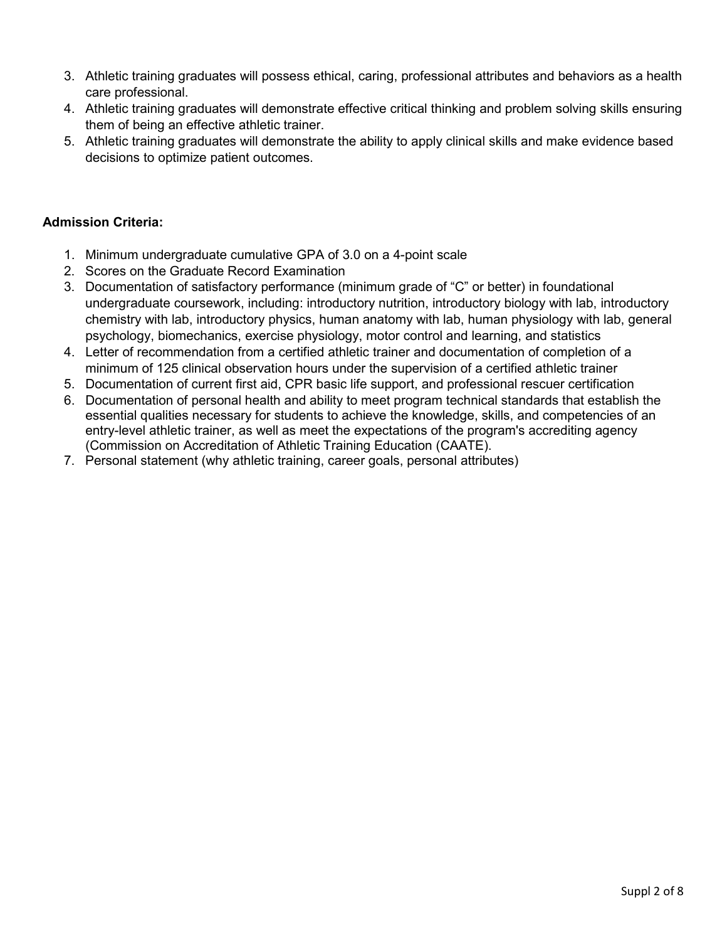- 3. Athletic training graduates will possess ethical, caring, professional attributes and behaviors as a health care professional.
- 4. Athletic training graduates will demonstrate effective critical thinking and problem solving skills ensuring them of being an effective athletic trainer.
- 5. Athletic training graduates will demonstrate the ability to apply clinical skills and make evidence based decisions to optimize patient outcomes.

## **Admission Criteria:**

- 1. Minimum undergraduate cumulative GPA of 3.0 on a 4-point scale
- 2. Scores on the Graduate Record Examination
- 3. Documentation of satisfactory performance (minimum grade of "C" or better) in foundational undergraduate coursework, including: introductory nutrition, introductory biology with lab, introductory chemistry with lab, introductory physics, human anatomy with lab, human physiology with lab, general psychology, biomechanics, exercise physiology, motor control and learning, and statistics
- 4. Letter of recommendation from a certified athletic trainer and documentation of completion of a minimum of 125 clinical observation hours under the supervision of a certified athletic trainer
- 5. Documentation of current first aid, CPR basic life support, and professional rescuer certification
- 6. Documentation of personal health and ability to meet program technical standards that establish the essential qualities necessary for students to achieve the knowledge, skills, and competencies of an entry-level athletic trainer, as well as meet the expectations of the program's accrediting agency (Commission on Accreditation of Athletic Training Education (CAATE).
- 7. Personal statement (why athletic training, career goals, personal attributes)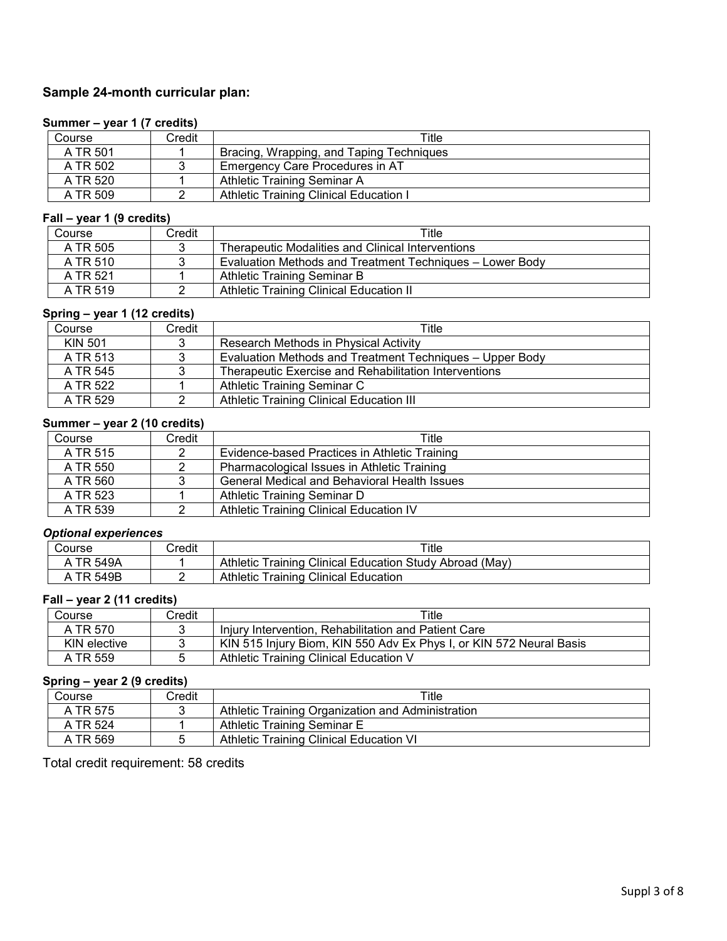## **Sample 24-month curricular plan:**

### **Summer – year 1 (7 credits)**

| Course   | Credit | Title                                    |
|----------|--------|------------------------------------------|
| A TR 501 |        | Bracing, Wrapping, and Taping Techniques |
| A TR 502 |        | Emergency Care Procedures in AT          |
| A TR 520 |        | Athletic Training Seminar A              |
| A TR 509 |        | Athletic Training Clinical Education I   |

#### **Fall – year 1 (9 credits)**

| Course   | Credit | Title                                                    |  |  |
|----------|--------|----------------------------------------------------------|--|--|
| A TR 505 |        | Therapeutic Modalities and Clinical Interventions        |  |  |
| A TR 510 |        | Evaluation Methods and Treatment Techniques - Lower Body |  |  |
| A TR 521 |        | Athletic Training Seminar B                              |  |  |
| A TR 519 |        | Athletic Training Clinical Education II                  |  |  |

### **Spring – year 1 (12 credits)**

| .              |        |                                                          |
|----------------|--------|----------------------------------------------------------|
| Course         | Credit | Title                                                    |
| <b>KIN 501</b> | 3      | Research Methods in Physical Activity                    |
| A TR 513       | 3      | Evaluation Methods and Treatment Techniques - Upper Body |
| A TR 545       | 3      | Therapeutic Exercise and Rehabilitation Interventions    |
| A TR 522       |        | Athletic Training Seminar C                              |
| A TR 529       |        | Athletic Training Clinical Education III                 |

#### **Summer – year 2 (10 credits)**

| Course   | Credit | Title                                               |
|----------|--------|-----------------------------------------------------|
| A TR 515 | ◠      | Evidence-based Practices in Athletic Training       |
| A TR 550 |        | Pharmacological Issues in Athletic Training         |
| A TR 560 | 2      | <b>General Medical and Behavioral Health Issues</b> |
| A TR 523 |        | Athletic Training Seminar D                         |
| A TR 539 |        | Athletic Training Clinical Education IV             |

#### *Optional experiences*

| Course | Credit | Title                                                                   |
|--------|--------|-------------------------------------------------------------------------|
| 549A   |        | <b>Training Clinical Education Study</b><br>(May)<br>Athletic<br>Abroad |
| 549B   |        | <b>Training Clinical Education</b><br>Athletic                          |

#### **Fall – year 2 (11 credits)**

| Course       | Credit | Title                                                               |
|--------------|--------|---------------------------------------------------------------------|
| A TR 570     |        | Injury Intervention, Rehabilitation and Patient Care                |
| KIN elective |        | KIN 515 Injury Biom, KIN 550 Adv Ex Phys I, or KIN 572 Neural Basis |
| A TR 559     |        | Athletic Training Clinical Education V                              |

## **Spring – year 2 (9 credits)**

| Course   | 2redit | $\tau$ itle                                       |
|----------|--------|---------------------------------------------------|
| A TR 575 |        | Athletic Training Organization and Administration |
| A TR 524 |        | Athletic Training Seminar E                       |
| A TR 569 |        | Athletic Training Clinical Education VI           |

Total credit requirement: 58 credits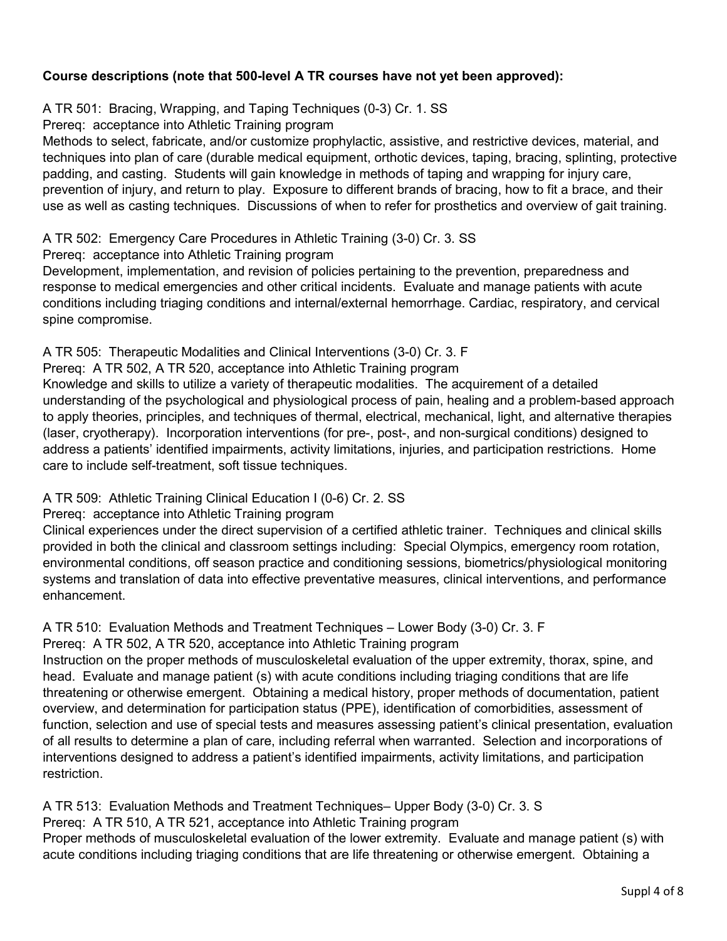## **Course descriptions (note that 500-level A TR courses have not yet been approved):**

A TR 501: Bracing, Wrapping, and Taping Techniques (0-3) Cr. 1. SS

Prereq: acceptance into Athletic Training program

Methods to select, fabricate, and/or customize prophylactic, assistive, and restrictive devices, material, and techniques into plan of care (durable medical equipment, orthotic devices, taping, bracing, splinting, protective padding, and casting. Students will gain knowledge in methods of taping and wrapping for injury care, prevention of injury, and return to play. Exposure to different brands of bracing, how to fit a brace, and their use as well as casting techniques. Discussions of when to refer for prosthetics and overview of gait training.

### A TR 502: Emergency Care Procedures in Athletic Training (3-0) Cr. 3. SS

Prereq: acceptance into Athletic Training program

Development, implementation, and revision of policies pertaining to the prevention, preparedness and response to medical emergencies and other critical incidents. Evaluate and manage patients with acute conditions including triaging conditions and internal/external hemorrhage. Cardiac, respiratory, and cervical spine compromise.

## A TR 505: Therapeutic Modalities and Clinical Interventions (3-0) Cr. 3. F

Prereq: A TR 502, A TR 520, acceptance into Athletic Training program

Knowledge and skills to utilize a variety of therapeutic modalities. The acquirement of a detailed understanding of the psychological and physiological process of pain, healing and a problem-based approach to apply theories, principles, and techniques of thermal, electrical, mechanical, light, and alternative therapies (laser, cryotherapy). Incorporation interventions (for pre-, post-, and non-surgical conditions) designed to address a patients' identified impairments, activity limitations, injuries, and participation restrictions. Home care to include self-treatment, soft tissue techniques.

## A TR 509: Athletic Training Clinical Education I (0-6) Cr. 2. SS

### Prereq: acceptance into Athletic Training program

Clinical experiences under the direct supervision of a certified athletic trainer. Techniques and clinical skills provided in both the clinical and classroom settings including: Special Olympics, emergency room rotation, environmental conditions, off season practice and conditioning sessions, biometrics/physiological monitoring systems and translation of data into effective preventative measures, clinical interventions, and performance enhancement.

## A TR 510: Evaluation Methods and Treatment Techniques – Lower Body (3-0) Cr. 3. F

Prereq: A TR 502, A TR 520, acceptance into Athletic Training program

Instruction on the proper methods of musculoskeletal evaluation of the upper extremity, thorax, spine, and head. Evaluate and manage patient (s) with acute conditions including triaging conditions that are life threatening or otherwise emergent. Obtaining a medical history, proper methods of documentation, patient overview, and determination for participation status (PPE), identification of comorbidities, assessment of function, selection and use of special tests and measures assessing patient's clinical presentation, evaluation of all results to determine a plan of care, including referral when warranted. Selection and incorporations of interventions designed to address a patient's identified impairments, activity limitations, and participation restriction.

### A TR 513: Evaluation Methods and Treatment Techniques– Upper Body (3-0) Cr. 3. S Prereq: A TR 510, A TR 521, acceptance into Athletic Training program Proper methods of musculoskeletal evaluation of the lower extremity. Evaluate and manage patient (s) with acute conditions including triaging conditions that are life threatening or otherwise emergent. Obtaining a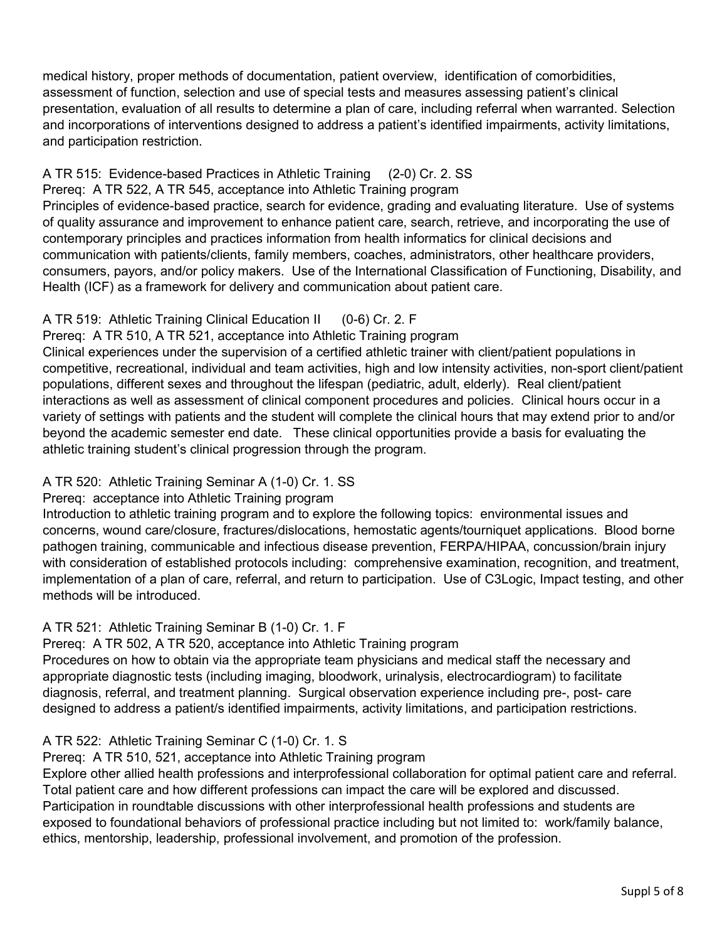medical history, proper methods of documentation, patient overview, identification of comorbidities, assessment of function, selection and use of special tests and measures assessing patient's clinical presentation, evaluation of all results to determine a plan of care, including referral when warranted. Selection and incorporations of interventions designed to address a patient's identified impairments, activity limitations, and participation restriction.

## A TR 515: Evidence-based Practices in Athletic Training (2-0) Cr. 2. SS

Prereq: A TR 522, A TR 545, acceptance into Athletic Training program Principles of evidence-based practice, search for evidence, grading and evaluating literature. Use of systems of quality assurance and improvement to enhance patient care, search, retrieve, and incorporating the use of contemporary principles and practices information from health informatics for clinical decisions and communication with patients/clients, family members, coaches, administrators, other healthcare providers, consumers, payors, and/or policy makers. Use of the International Classification of Functioning, Disability, and Health (ICF) as a framework for delivery and communication about patient care.

## A TR 519: Athletic Training Clinical Education II (0-6) Cr. 2. F

Prereq: A TR 510, A TR 521, acceptance into Athletic Training program

Clinical experiences under the supervision of a certified athletic trainer with client/patient populations in competitive, recreational, individual and team activities, high and low intensity activities, non-sport client/patient populations, different sexes and throughout the lifespan (pediatric, adult, elderly). Real client/patient interactions as well as assessment of clinical component procedures and policies. Clinical hours occur in a variety of settings with patients and the student will complete the clinical hours that may extend prior to and/or beyond the academic semester end date. These clinical opportunities provide a basis for evaluating the athletic training student's clinical progression through the program.

## A TR 520: Athletic Training Seminar A (1-0) Cr. 1. SS

## Prereq: acceptance into Athletic Training program

Introduction to athletic training program and to explore the following topics: environmental issues and concerns, wound care/closure, fractures/dislocations, hemostatic agents/tourniquet applications. Blood borne pathogen training, communicable and infectious disease prevention, FERPA/HIPAA, concussion/brain injury with consideration of established protocols including: comprehensive examination, recognition, and treatment, implementation of a plan of care, referral, and return to participation. Use of C3Logic, Impact testing, and other methods will be introduced.

## A TR 521: Athletic Training Seminar B (1-0) Cr. 1. F

Prereq: A TR 502, A TR 520, acceptance into Athletic Training program

Procedures on how to obtain via the appropriate team physicians and medical staff the necessary and appropriate diagnostic tests (including imaging, bloodwork, urinalysis, electrocardiogram) to facilitate diagnosis, referral, and treatment planning. Surgical observation experience including pre-, post- care designed to address a patient/s identified impairments, activity limitations, and participation restrictions.

## A TR 522: Athletic Training Seminar C (1-0) Cr. 1. S

## Prereq: A TR 510, 521, acceptance into Athletic Training program

Explore other allied health professions and interprofessional collaboration for optimal patient care and referral. Total patient care and how different professions can impact the care will be explored and discussed. Participation in roundtable discussions with other interprofessional health professions and students are exposed to foundational behaviors of professional practice including but not limited to: work/family balance, ethics, mentorship, leadership, professional involvement, and promotion of the profession.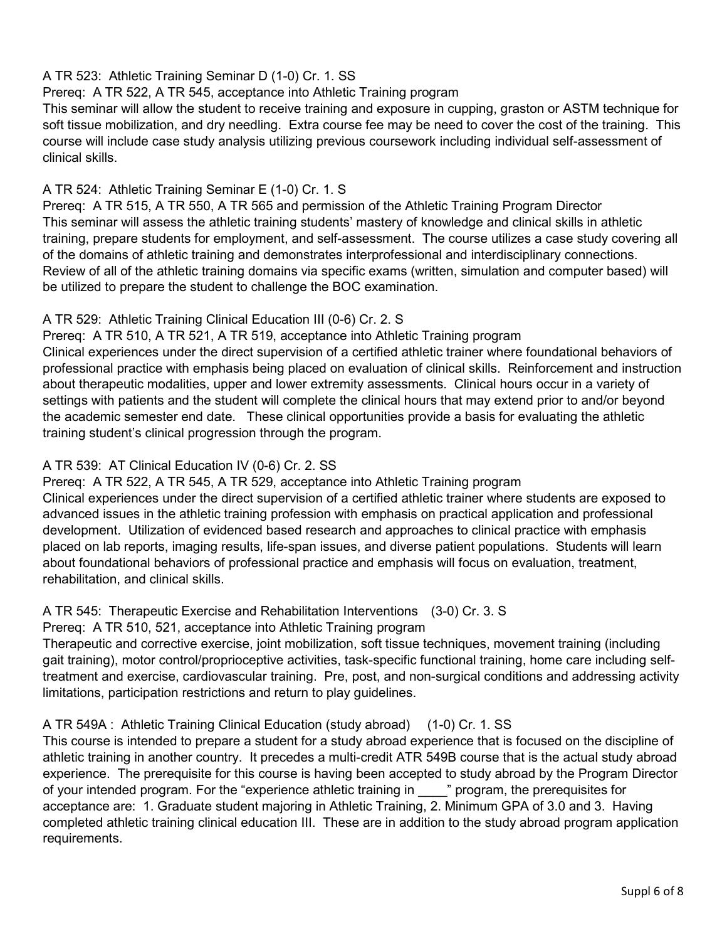## A TR 523: Athletic Training Seminar D (1-0) Cr. 1. SS

## Prereq: A TR 522, A TR 545, acceptance into Athletic Training program

This seminar will allow the student to receive training and exposure in cupping, graston or ASTM technique for soft tissue mobilization, and dry needling. Extra course fee may be need to cover the cost of the training. This course will include case study analysis utilizing previous coursework including individual self-assessment of clinical skills.

## A TR 524: Athletic Training Seminar E (1-0) Cr. 1. S

Prereq: A TR 515, A TR 550, A TR 565 and permission of the Athletic Training Program Director This seminar will assess the athletic training students' mastery of knowledge and clinical skills in athletic training, prepare students for employment, and self-assessment. The course utilizes a case study covering all of the domains of athletic training and demonstrates interprofessional and interdisciplinary connections. Review of all of the athletic training domains via specific exams (written, simulation and computer based) will be utilized to prepare the student to challenge the BOC examination.

## A TR 529: Athletic Training Clinical Education III (0-6) Cr. 2. S

Prereq: A TR 510, A TR 521, A TR 519, acceptance into Athletic Training program Clinical experiences under the direct supervision of a certified athletic trainer where foundational behaviors of professional practice with emphasis being placed on evaluation of clinical skills. Reinforcement and instruction about therapeutic modalities, upper and lower extremity assessments. Clinical hours occur in a variety of settings with patients and the student will complete the clinical hours that may extend prior to and/or beyond the academic semester end date. These clinical opportunities provide a basis for evaluating the athletic training student's clinical progression through the program.

## A TR 539: AT Clinical Education IV (0-6) Cr. 2. SS

Prereq: A TR 522, A TR 545, A TR 529, acceptance into Athletic Training program Clinical experiences under the direct supervision of a certified athletic trainer where students are exposed to advanced issues in the athletic training profession with emphasis on practical application and professional development. Utilization of evidenced based research and approaches to clinical practice with emphasis placed on lab reports, imaging results, life-span issues, and diverse patient populations. Students will learn about foundational behaviors of professional practice and emphasis will focus on evaluation, treatment, rehabilitation, and clinical skills.

## A TR 545: Therapeutic Exercise and Rehabilitation Interventions (3-0) Cr. 3. S

Prereq: A TR 510, 521, acceptance into Athletic Training program

Therapeutic and corrective exercise, joint mobilization, soft tissue techniques, movement training (including gait training), motor control/proprioceptive activities, task-specific functional training, home care including selftreatment and exercise, cardiovascular training. Pre, post, and non-surgical conditions and addressing activity limitations, participation restrictions and return to play guidelines.

## A TR 549A : Athletic Training Clinical Education (study abroad) (1-0) Cr. 1. SS

This course is intended to prepare a student for a study abroad experience that is focused on the discipline of athletic training in another country. It precedes a multi-credit ATR 549B course that is the actual study abroad experience. The prerequisite for this course is having been accepted to study abroad by the Program Director of your intended program. For the "experience athletic training in The program, the prerequisites for acceptance are: 1. Graduate student majoring in Athletic Training, 2. Minimum GPA of 3.0 and 3. Having completed athletic training clinical education III. These are in addition to the study abroad program application requirements.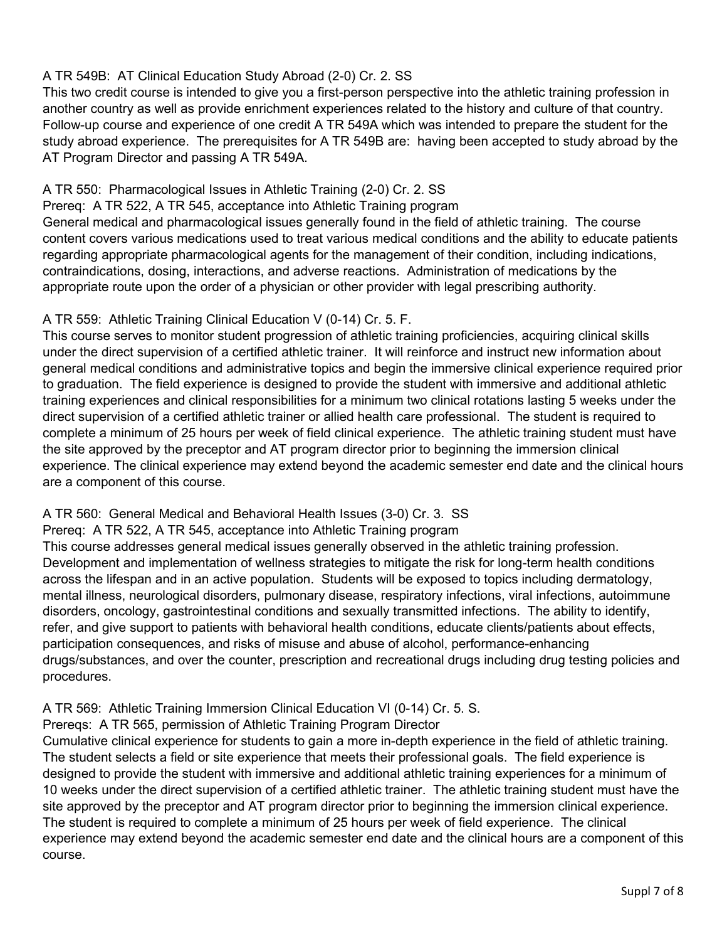## A TR 549B: AT Clinical Education Study Abroad (2-0) Cr. 2. SS

This two credit course is intended to give you a first-person perspective into the athletic training profession in another country as well as provide enrichment experiences related to the history and culture of that country. Follow-up course and experience of one credit A TR 549A which was intended to prepare the student for the study abroad experience. The prerequisites for A TR 549B are: having been accepted to study abroad by the AT Program Director and passing A TR 549A.

## A TR 550: Pharmacological Issues in Athletic Training (2-0) Cr. 2. SS

Prereq: A TR 522, A TR 545, acceptance into Athletic Training program

General medical and pharmacological issues generally found in the field of athletic training. The course content covers various medications used to treat various medical conditions and the ability to educate patients regarding appropriate pharmacological agents for the management of their condition, including indications, contraindications, dosing, interactions, and adverse reactions. Administration of medications by the appropriate route upon the order of a physician or other provider with legal prescribing authority.

## A TR 559: Athletic Training Clinical Education V (0-14) Cr. 5. F.

This course serves to monitor student progression of athletic training proficiencies, acquiring clinical skills under the direct supervision of a certified athletic trainer. It will reinforce and instruct new information about general medical conditions and administrative topics and begin the immersive clinical experience required prior to graduation. The field experience is designed to provide the student with immersive and additional athletic training experiences and clinical responsibilities for a minimum two clinical rotations lasting 5 weeks under the direct supervision of a certified athletic trainer or allied health care professional. The student is required to complete a minimum of 25 hours per week of field clinical experience. The athletic training student must have the site approved by the preceptor and AT program director prior to beginning the immersion clinical experience. The clinical experience may extend beyond the academic semester end date and the clinical hours are a component of this course.

## A TR 560: General Medical and Behavioral Health Issues (3-0) Cr. 3. SS

Prereq: A TR 522, A TR 545, acceptance into Athletic Training program

This course addresses general medical issues generally observed in the athletic training profession. Development and implementation of wellness strategies to mitigate the risk for long-term health conditions across the lifespan and in an active population. Students will be exposed to topics including dermatology, mental illness, neurological disorders, pulmonary disease, respiratory infections, viral infections, autoimmune disorders, oncology, gastrointestinal conditions and sexually transmitted infections. The ability to identify, refer, and give support to patients with behavioral health conditions, educate clients/patients about effects, participation consequences, and risks of misuse and abuse of alcohol, performance-enhancing drugs/substances, and over the counter, prescription and recreational drugs including drug testing policies and procedures.

## A TR 569: Athletic Training Immersion Clinical Education VI (0-14) Cr. 5. S.

Prereqs: A TR 565, permission of Athletic Training Program Director

Cumulative clinical experience for students to gain a more in-depth experience in the field of athletic training. The student selects a field or site experience that meets their professional goals. The field experience is designed to provide the student with immersive and additional athletic training experiences for a minimum of 10 weeks under the direct supervision of a certified athletic trainer. The athletic training student must have the site approved by the preceptor and AT program director prior to beginning the immersion clinical experience. The student is required to complete a minimum of 25 hours per week of field experience. The clinical experience may extend beyond the academic semester end date and the clinical hours are a component of this course.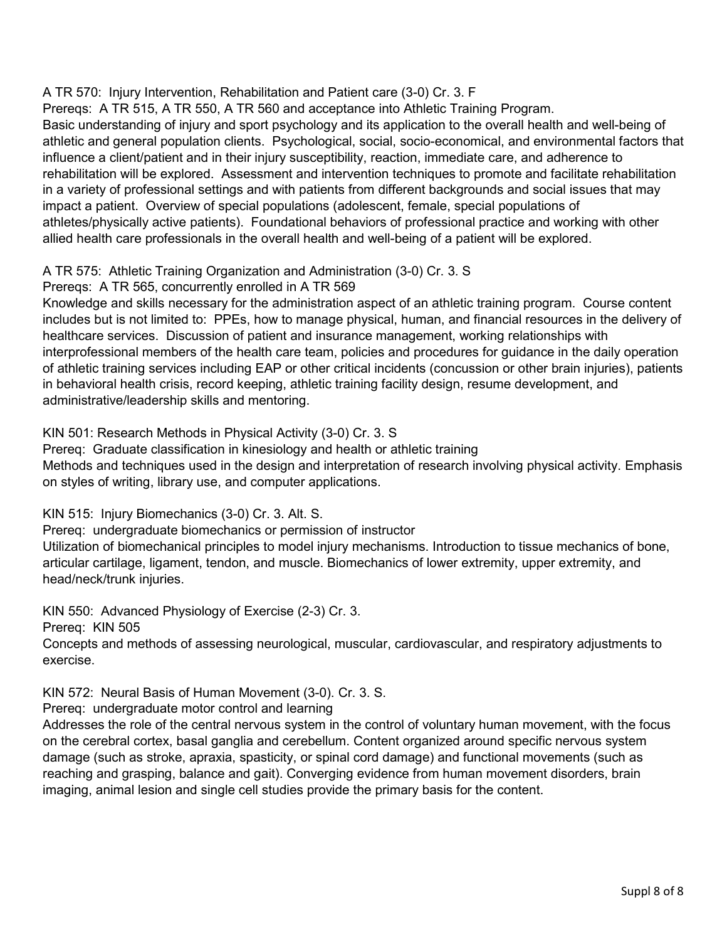## A TR 570: Injury Intervention, Rehabilitation and Patient care (3-0) Cr. 3. F

Prereqs: A TR 515, A TR 550, A TR 560 and acceptance into Athletic Training Program.

Basic understanding of injury and sport psychology and its application to the overall health and well-being of athletic and general population clients. Psychological, social, socio-economical, and environmental factors that influence a client/patient and in their injury susceptibility, reaction, immediate care, and adherence to rehabilitation will be explored. Assessment and intervention techniques to promote and facilitate rehabilitation in a variety of professional settings and with patients from different backgrounds and social issues that may impact a patient. Overview of special populations (adolescent, female, special populations of athletes/physically active patients). Foundational behaviors of professional practice and working with other allied health care professionals in the overall health and well-being of a patient will be explored.

## A TR 575: Athletic Training Organization and Administration (3-0) Cr. 3. S

Prereqs: A TR 565, concurrently enrolled in A TR 569

Knowledge and skills necessary for the administration aspect of an athletic training program. Course content includes but is not limited to: PPEs, how to manage physical, human, and financial resources in the delivery of healthcare services. Discussion of patient and insurance management, working relationships with interprofessional members of the health care team, policies and procedures for guidance in the daily operation of athletic training services including EAP or other critical incidents (concussion or other brain injuries), patients in behavioral health crisis, record keeping, athletic training facility design, resume development, and administrative/leadership skills and mentoring.

KIN 501: Research Methods in Physical Activity (3-0) Cr. 3. S

Prereq: Graduate classification in kinesiology and health or athletic training Methods and techniques used in the design and interpretation of research involving physical activity. Emphasis on styles of writing, library use, and computer applications.

KIN 515: Injury Biomechanics (3-0) Cr. 3. Alt. S.

Prereq: undergraduate biomechanics or permission of instructor

Utilization of biomechanical principles to model injury mechanisms. Introduction to tissue mechanics of bone, articular cartilage, ligament, tendon, and muscle. Biomechanics of lower extremity, upper extremity, and head/neck/trunk injuries.

KIN 550: Advanced Physiology of Exercise (2-3) Cr. 3.

Prereq: KIN 505

Concepts and methods of assessing neurological, muscular, cardiovascular, and respiratory adjustments to exercise.

KIN 572: Neural Basis of Human Movement (3-0). Cr. 3. S.

Prereq: undergraduate motor control and learning

Addresses the role of the central nervous system in the control of voluntary human movement, with the focus on the cerebral cortex, basal ganglia and cerebellum. Content organized around specific nervous system damage (such as stroke, apraxia, spasticity, or spinal cord damage) and functional movements (such as reaching and grasping, balance and gait). Converging evidence from human movement disorders, brain imaging, animal lesion and single cell studies provide the primary basis for the content.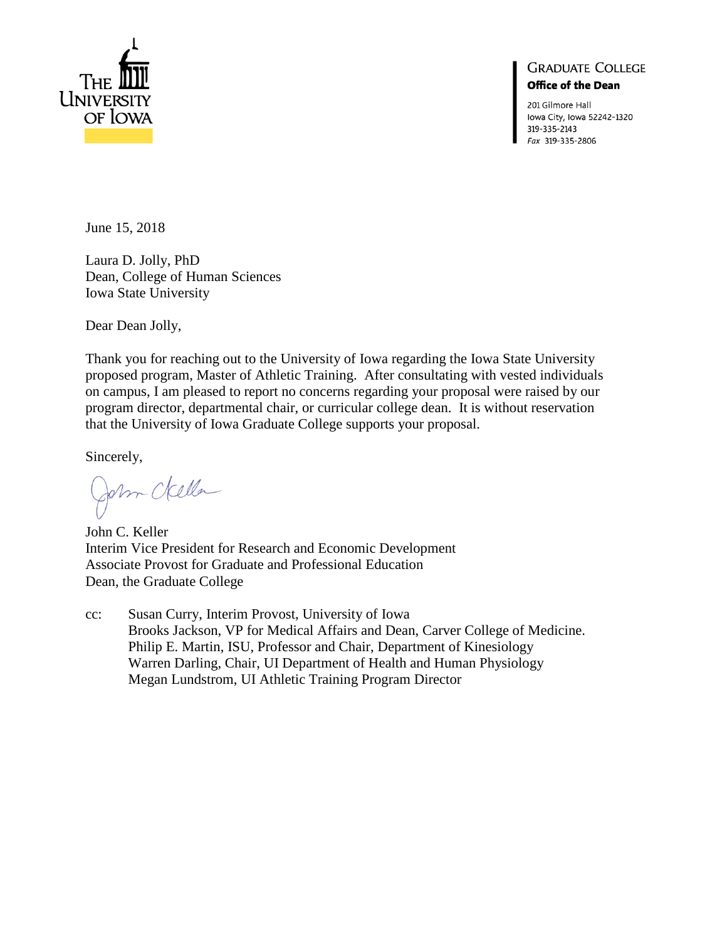

## **GRADUATE COLLEGE Office of the Dean**

201 Gilmore Hall lowa City, Iowa 52242-1320 319-335-2143 Fax 319-335-2806

June 15, 2018

Laura D. Jolly, PhD Dean, College of Human Sciences Iowa State University

Dear Dean Jolly,

Thank you for reaching out to the University of Iowa regarding the Iowa State University proposed program, Master of Athletic Training. After consultating with vested individuals on campus, I am pleased to report no concerns regarding your proposal were raised by our program director, departmental chair, or curricular college dean. It is without reservation that the University of Iowa Graduate College supports your proposal.

Sincerely,

John della

John C. Keller Interim Vice President for Research and Economic Development Associate Provost for Graduate and Professional Education Dean, the Graduate College

cc: Susan Curry, Interim Provost, University of Iowa Brooks Jackson, VP for Medical Affairs and Dean, Carver College of Medicine. Philip E. Martin, ISU, Professor and Chair, Department of Kinesiology Warren Darling, Chair, UI Department of Health and Human Physiology Megan Lundstrom, UI Athletic Training Program Director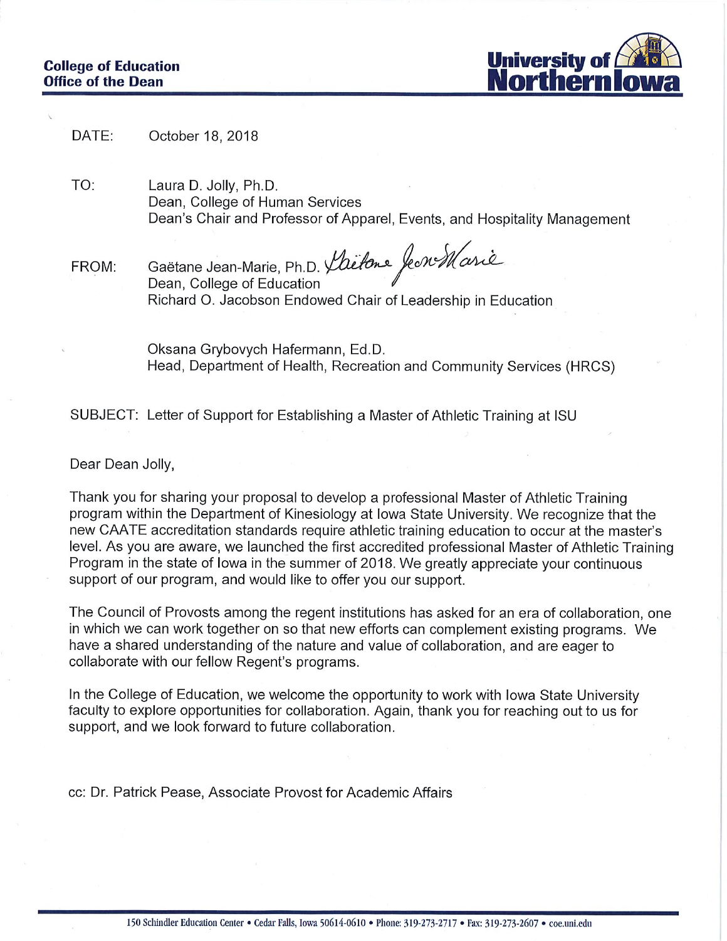

DATE: October 18, 2018

TO: Laura D. Jolly, Ph.D. Dean, College of Human Services Dean's Chair and Professor of Apparel, Events, and Hospitality Management

Gaëtane Jean-Marie, Ph.D. *Laitone* fe*n Marie*<br>Dean, College of Education FROM: Richard O. Jacobson Endowed Chair of Leadership in Education

Oksana Grybovych Hafermann, Ed.D. Head, Department of Health, Recreation and Community Services (HRCS)

SUBJECT: Letter of Support for Establishing a Master of Athletic Training at ISU

Dear Dean Jolly,

Thank you for sharing your proposal to develop a professional Master of Athletic Training program within the Department of Kinesiology at Iowa State University. We recognize that the new CAATE accreditation standards require athletic training education to occur at the master's level. As you are aware, we launched the first accredited professional Master of Athletic Training Program in the state of lowa in the summer of 2018. We greatly appreciate your continuous support of our program, and would like to offer you our support.

The Council of Provosts among the regent institutions has asked for an era of collaboration, one in which we can work together on so that new efforts can complement existing programs. We have a shared understanding of the nature and value of collaboration, and are eager to collaborate with our fellow Regent's programs.

In the College of Education, we welcome the opportunity to work with Iowa State University faculty to explore opportunities for collaboration. Again, thank you for reaching out to us for support, and we look forward to future collaboration.

cc: Dr. Patrick Pease, Associate Provost for Academic Affairs